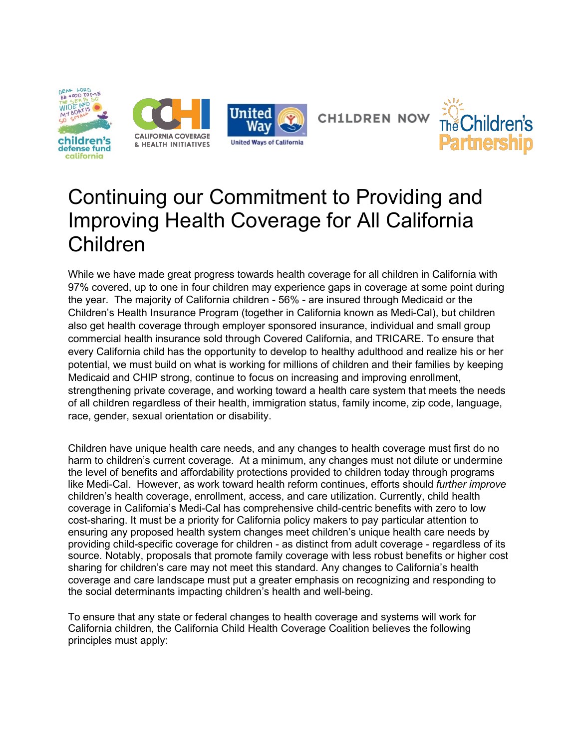



# Continuing our Commitment to Providing and Improving Health Coverage for All California Children

While we have made great progress towards health coverage for all children in California with 97% covered, up to one in four children may experience gaps in coverage at some point during the year. The majority of California children - 56% - are insured through Medicaid or the Children's Health Insurance Program (together in California known as Medi-Cal), but children also get health coverage through employer sponsored insurance, individual and small group commercial health insurance sold through Covered California, and TRICARE. To ensure that every California child has the opportunity to develop to healthy adulthood and realize his or her potential, we must build on what is working for millions of children and their families by keeping Medicaid and CHIP strong, continue to focus on increasing and improving enrollment, strengthening private coverage, and working toward a health care system that meets the needs of all children regardless of their health, immigration status, family income, zip code, language, race, gender, sexual orientation or disability.

Children have unique health care needs, and any changes to health coverage must first do no harm to children's current coverage. At a minimum, any changes must not dilute or undermine the level of benefits and affordability protections provided to children today through programs like Medi-Cal. However, as work toward health reform continues, efforts should *further improve* children's health coverage, enrollment, access, and care utilization. Currently, child health coverage in California's Medi-Cal has comprehensive child-centric benefits with zero to low cost-sharing. It must be a priority for California policy makers to pay particular attention to ensuring any proposed health system changes meet children's unique health care needs by providing child-specific coverage for children - as distinct from adult coverage - regardless of its source. Notably, proposals that promote family coverage with less robust benefits or higher cost sharing for children's care may not meet this standard. Any changes to California's health coverage and care landscape must put a greater emphasis on recognizing and responding to the social determinants impacting children's health and well-being.

To ensure that any state or federal changes to health coverage and systems will work for California children, the California Child Health Coverage Coalition believes the following principles must apply: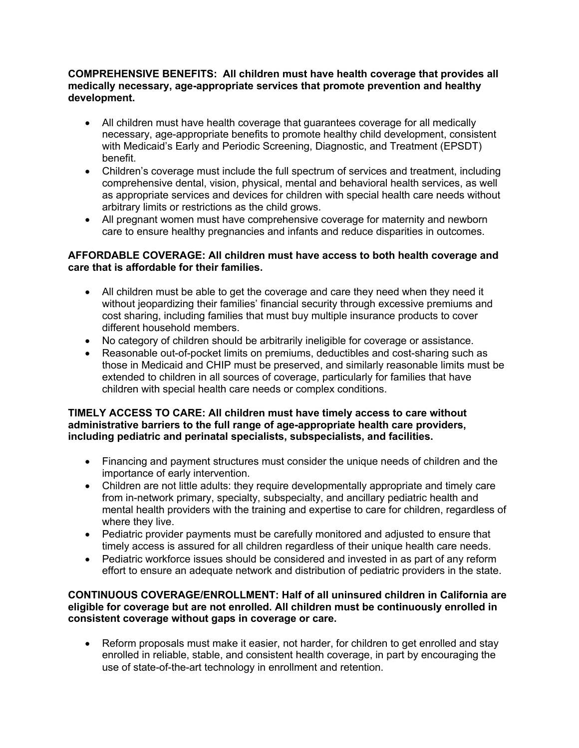#### **COMPREHENSIVE BENEFITS: All children must have health coverage that provides all medically necessary, age-appropriate services that promote prevention and healthy development.**

- All children must have health coverage that guarantees coverage for all medically necessary, age-appropriate benefits to promote healthy child development, consistent with Medicaid's Early and Periodic Screening, Diagnostic, and Treatment (EPSDT) benefit.
- Children's coverage must include the full spectrum of services and treatment, including comprehensive dental, vision, physical, mental and behavioral health services, as well as appropriate services and devices for children with special health care needs without arbitrary limits or restrictions as the child grows.
- All pregnant women must have comprehensive coverage for maternity and newborn care to ensure healthy pregnancies and infants and reduce disparities in outcomes.

### **AFFORDABLE COVERAGE: All children must have access to both health coverage and care that is affordable for their families.**

- All children must be able to get the coverage and care they need when they need it without jeopardizing their families' financial security through excessive premiums and cost sharing, including families that must buy multiple insurance products to cover different household members.
- No category of children should be arbitrarily ineligible for coverage or assistance.
- Reasonable out-of-pocket limits on premiums, deductibles and cost-sharing such as those in Medicaid and CHIP must be preserved, and similarly reasonable limits must be extended to children in all sources of coverage, particularly for families that have children with special health care needs or complex conditions.

#### **TIMELY ACCESS TO CARE: All children must have timely access to care without administrative barriers to the full range of age-appropriate health care providers, including pediatric and perinatal specialists, subspecialists, and facilities.**

- Financing and payment structures must consider the unique needs of children and the importance of early intervention.
- Children are not little adults: they require developmentally appropriate and timely care from in-network primary, specialty, subspecialty, and ancillary pediatric health and mental health providers with the training and expertise to care for children, regardless of where they live.
- Pediatric provider payments must be carefully monitored and adjusted to ensure that timely access is assured for all children regardless of their unique health care needs.
- Pediatric workforce issues should be considered and invested in as part of any reform effort to ensure an adequate network and distribution of pediatric providers in the state.

#### **CONTINUOUS COVERAGE/ENROLLMENT: Half of all uninsured children in California are eligible for coverage but are not enrolled. All children must be continuously enrolled in consistent coverage without gaps in coverage or care.**

• Reform proposals must make it easier, not harder, for children to get enrolled and stay enrolled in reliable, stable, and consistent health coverage, in part by encouraging the use of state-of-the-art technology in enrollment and retention.